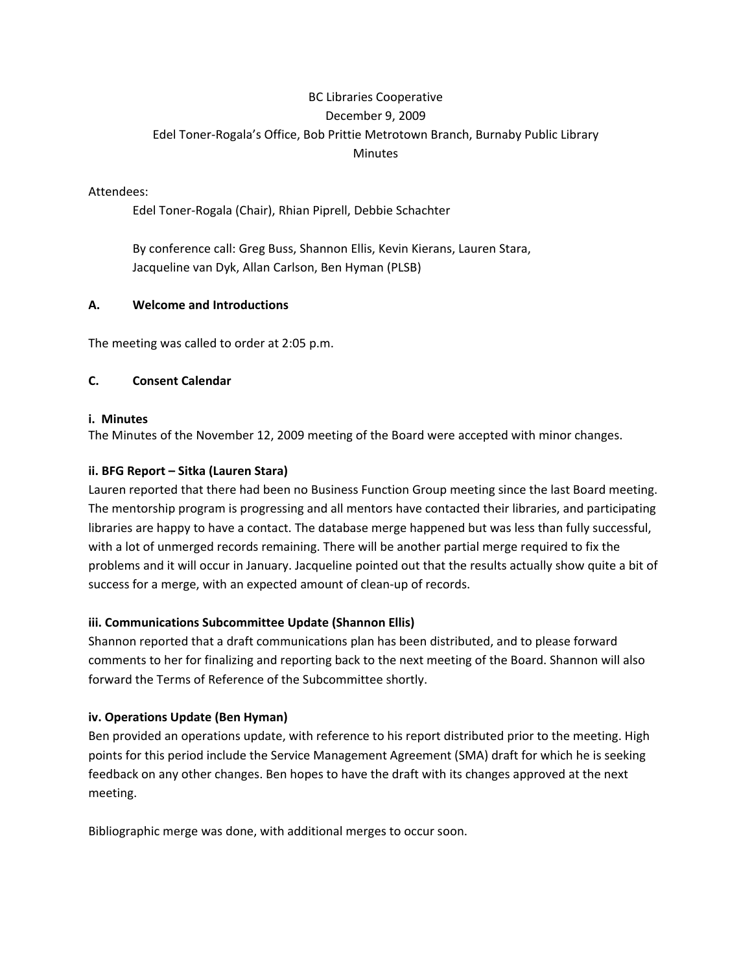# BC Libraries Cooperative December 9, 2009 Edel Toner‐Rogala's Office, Bob Prittie Metrotown Branch, Burnaby Public Library **Minutes**

#### Attendees:

Edel Toner‐Rogala (Chair), Rhian Piprell, Debbie Schachter

By conference call: Greg Buss, Shannon Ellis, Kevin Kierans, Lauren Stara, Jacqueline van Dyk, Allan Carlson, Ben Hyman (PLSB)

## **A. Welcome and Introductions**

The meeting was called to order at 2:05 p.m.

## **C. Consent Calendar**

#### **i. Minutes**

The Minutes of the November 12, 2009 meeting of the Board were accepted with minor changes.

#### **ii. BFG Report – Sitka (Lauren Stara)**

Lauren reported that there had been no Business Function Group meeting since the last Board meeting. The mentorship program is progressing and all mentors have contacted their libraries, and participating libraries are happy to have a contact. The database merge happened but was less than fully successful, with a lot of unmerged records remaining. There will be another partial merge required to fix the problems and it will occur in January. Jacqueline pointed out that the results actually show quite a bit of success for a merge, with an expected amount of clean‐up of records.

## **iii. Communications Subcommittee Update (Shannon Ellis)**

Shannon reported that a draft communications plan has been distributed, and to please forward comments to her for finalizing and reporting back to the next meeting of the Board. Shannon will also forward the Terms of Reference of the Subcommittee shortly.

## **iv. Operations Update (Ben Hyman)**

Ben provided an operations update, with reference to his report distributed prior to the meeting. High points for this period include the Service Management Agreement (SMA) draft for which he is seeking feedback on any other changes. Ben hopes to have the draft with its changes approved at the next meeting.

Bibliographic merge was done, with additional merges to occur soon.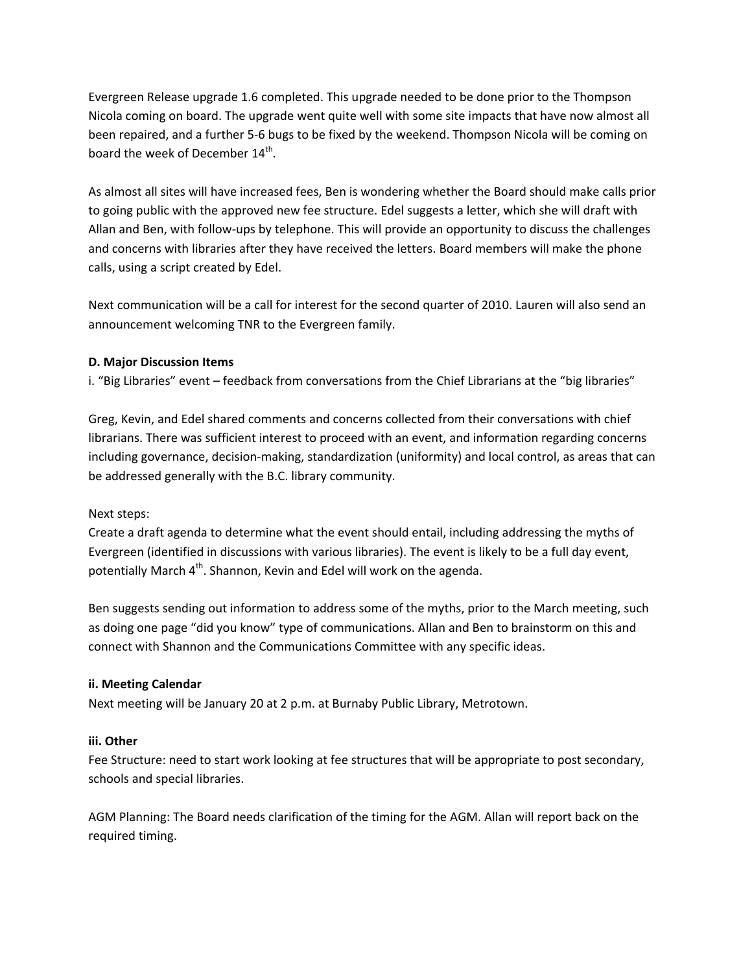Evergreen Release upgrade 1.6 completed. This upgrade needed to be done prior to the Thompson Nicola coming on board. The upgrade went quite well with some site impacts that have now almost all been repaired, and a further 5‐6 bugs to be fixed by the weekend. Thompson Nicola will be coming on board the week of December 14<sup>th</sup>.

As almost all sites will have increased fees, Ben is wondering whether the Board should make calls prior to going public with the approved new fee structure. Edel suggests a letter, which she will draft with Allan and Ben, with follow‐ups by telephone. This will provide an opportunity to discuss the challenges and concerns with libraries after they have received the letters. Board members will make the phone calls, using a script created by Edel.

Next communication will be a call for interest for the second quarter of 2010. Lauren will also send an announcement welcoming TNR to the Evergreen family.

## **D. Major Discussion Items**

i. "Big Libraries" event – feedback from conversations from the Chief Librarians at the "big libraries"

Greg, Kevin, and Edel shared comments and concerns collected from their conversations with chief librarians. There was sufficient interest to proceed with an event, and information regarding concerns including governance, decision‐making, standardization (uniformity) and local control, as areas that can be addressed generally with the B.C. library community.

## Next steps:

Create a draft agenda to determine what the event should entail, including addressing the myths of Evergreen (identified in discussions with various libraries). The event is likely to be a full day event, potentially March 4<sup>th</sup>. Shannon, Kevin and Edel will work on the agenda.

Ben suggests sending out information to address some of the myths, prior to the March meeting, such as doing one page "did you know" type of communications. Allan and Ben to brainstorm on this and connect with Shannon and the Communications Committee with any specific ideas.

## **ii. Meeting Calendar**

Next meeting will be January 20 at 2 p.m. at Burnaby Public Library, Metrotown.

## **iii. Other**

Fee Structure: need to start work looking at fee structures that will be appropriate to post secondary, schools and special libraries.

AGM Planning: The Board needs clarification of the timing for the AGM. Allan will report back on the required timing.